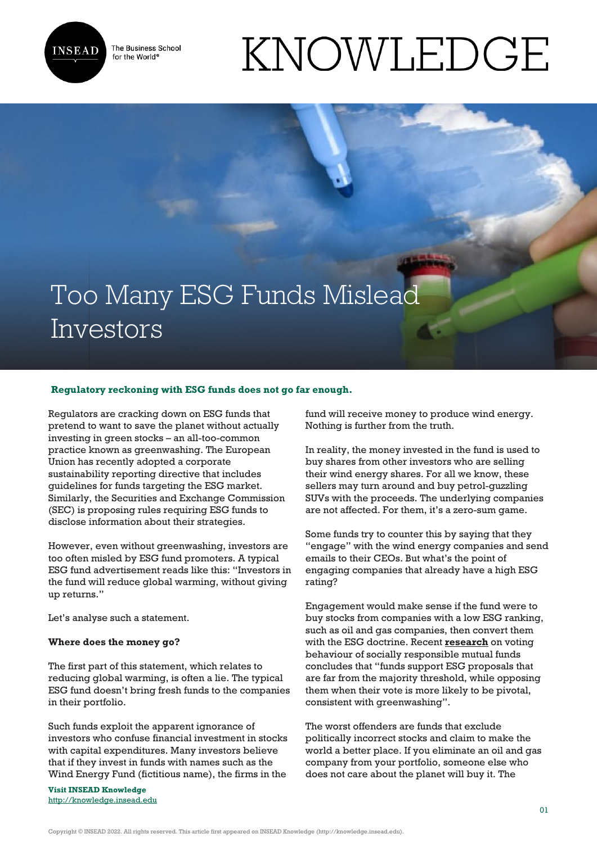

The Business School for the World<sup>®</sup>

# KNOWLEDGE

# Too Many ESG Funds Mislead Investors

## **Regulatory reckoning with ESG funds does not go far enough.**

Regulators are cracking down on ESG funds that pretend to want to save the planet without actually investing in green stocks – an all-too-common practice known as greenwashing. The European Union has recently adopted a corporate sustainability reporting directive that includes guidelines for funds targeting the ESG market. Similarly, the Securities and Exchange Commission (SEC) is proposing rules requiring ESG funds to disclose information about their strategies.

However, even without greenwashing, investors are too often misled by ESG fund promoters. A typical ESG fund advertisement reads like this: "Investors in the fund will reduce global warming, without giving up returns."

Let's analyse such a statement.

#### **Where does the money go?**

The first part of this statement, which relates to reducing global warming, is often a lie. The typical ESG fund doesn't bring fresh funds to the companies in their portfolio.

Such funds exploit the apparent ignorance of investors who confuse financial investment in stocks with capital expenditures. Many investors believe that if they invest in funds with names such as the Wind Energy Fund (fictitious name), the firms in the

**Visit INSEAD Knowledge** <http://knowledge.insead.edu> fund will receive money to produce wind energy. Nothing is further from the truth.

In reality, the money invested in the fund is used to buy shares from other investors who are selling their wind energy shares. For all we know, these sellers may turn around and buy petrol-guzzling SUVs with the proceeds. The underlying companies are not affected. For them, it's a zero-sum game.

Some funds try to counter this by saying that they "engage" with the wind energy companies and send emails to their CEOs. But what's the point of engaging companies that already have a high ESG rating?

Engagement would make sense if the fund were to buy stocks from companies with a low ESG ranking, such as oil and gas companies, then convert them with the ESG doctrine. Recent **[research](https://ecgi.global/sites/default/files/working_papers/documents/michaelyetalfinal.pdf)** on voting behaviour of socially responsible mutual funds concludes that "funds support ESG proposals that are far from the majority threshold, while opposing them when their vote is more likely to be pivotal, consistent with greenwashing".

The worst offenders are funds that exclude politically incorrect stocks and claim to make the world a better place. If you eliminate an oil and gas company from your portfolio, someone else who does not care about the planet will buy it. The

Copyright © INSEAD 2022. All rights reserved. This article first appeared on INSEAD Knowledge (http://knowledge.insead.edu).